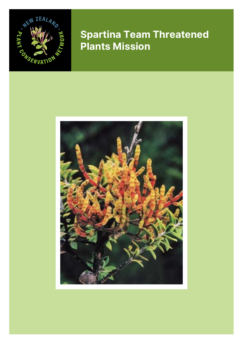

# **Spartina Team Threatened Plants Mission**

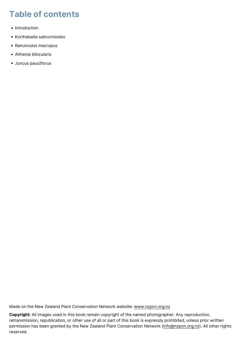# **Table of contents**

- Introduction
- Korthalsella salicornioides
- Ranunculus macropus
- Althenia bilocularis
- Juncus pauciflorus

Made on the New Zealand Plant Conservation Network website: [www.nzpcn.org.nz](https://www.nzpcn.org.nz/)

**Copyright:** All images used in this book remain copyright of the named photographer. Any reproduction, retransmission, republication, or other use of all or part of this book is expressly prohibited, unless prior written permission has been granted by the New Zealand Plant Conservation Network ([info@nzpcn.org.nz\)](mailto:info@nzpcn.org.nz). All other rights reserved.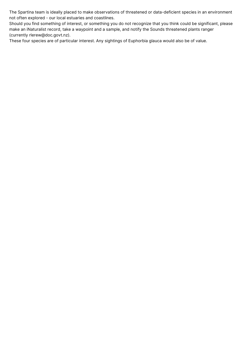The Spartina team is ideally placed to make observations of threatened or data-deficient species in an environment not often explored - our local estuaries and coastlines.

Should you find something of interest, or something you do not recognize that you think could be significant, please make an iNaturalist record, take a waypoint and a sample, and notify the Sounds threatened plants ranger (currently rlerew@doc.govt.nz).

These four species are of particular interest. Any sightings of Euphorbia glauca would also be of value.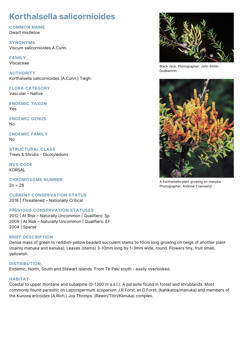## **Korthalsella salicornioides**

#### **COMMON NAME**

Dwarf mistletoe

**SYNONYMS** Viscum salicornioides A.Cunn.

**FAMILY** Viscaceae

**AUTHORITY** Korthalsella salicornioides (A.Cunn.) Tiegh.

**FLORA CATEGORY** Vascular – Native

**ENDEMIC TAXON** Yes

**ENDEMIC GENUS** No

**ENDEMIC FAMILY** No

**STRUCTURAL CLASS** Trees & Shrubs - Dicotyledons

**NVS CODE** KORSAL

**CHROMOSOME NUMBER**  $2n = 28$ 

**CURRENT CONSERVATION STATUS** 2018 | Threatened – Nationally Critical

#### **PREVIOUS CONSERVATION STATUSES**

2012 | At Risk – Naturally Uncommon | Qualifiers: Sp 2009 | At Risk – Naturally Uncommon | Qualifiers: EF 2004 | Sparse

#### **BRIEF DESCRIPTION**

Dense mass of green to reddish-yellow beaded succulent stems to 10cm long growing on twigs of another plant (mainly manuka and kanuka). Leaves (stems) 3-10mm long by 1-3mm wide, round. Flowers tiny, fruit small, yellowish.

#### **DISTRIBUTION**

Endemic. North, South and Stewart Islands. From Te Paki south - easily overlooked.

#### **HABITAT**

Coastal to upper montane and subalpine (0-1300 m a.s.l.). A parasite found in forest and shrublands. Most commonly found parasitic on Leptospermum scoparium J.R.Forst. et G.Forst. (kahikatoa/manuka) and members of the Kunzea ericoides (A.Rich.) Joy Thomps. (Rawiri/Titiri/Kanuka) complex.



Black Jack. Photographer: John Smith-Dodsworth



A Korthalsella plant growing on manuka. Photographer: Andrew Townsend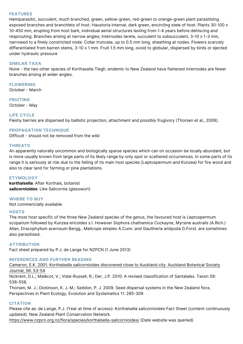#### **FEATURES**

Hemiparasitic, succulent, much branched, green, yellow-green, red-green to orange-green plant parasitising exposed branches and branchlets of host. Haustoria internal, dark green, encircling stele of host. Plants 30-100 x 10-450 mm, erupting from host bark, individual aerial structures lasting from 1-4 years before dehiscing and resprouting. Branches arising at narrow angles; Internodes terete, succulent to subsucculent, 3-10 x 1-3 mm, narrowed to a finely constricted node. Collar truncate, up to 0.5 mm long, sheathing at nodes. Flowers scarcely differentiated from barren stems, 3-10 x 1 mm. Fruit 1.5 mm long, ovoid to globular, dispersed by birds or ejected under hydraulic pressure

#### **SIMILAR TAXA**

None - the two other species of Korthasella Tiegh. endemic to New Zealand have flattened internodes are fewer branches arising at wider angles.

#### **FLOWERING**

October - March

#### **FRUITING**

October - May

#### **LIFE CYCLE**

Fleshy berries are dispersed by ballistic projection, attachment and possibly frugivory (Thorsen et al., 2009).

#### **PROPAGATION TECHNIQUE**

Difficult - should not be removed from the wild

#### **THREATS**

An apparently naturally uncommon and biologically sparse species which can on occasion be locally abundant, but is more usually known from large parts of its likely range by only spot or scattered occurrences. In some parts of its range it is seriously at risk due to the felling of its main host species (Leptospermum and Kunzea) for fire wood and also to clear land for farming or pine plantations.

#### **ETYMOLOGY**

**korthalsella**: After Korthals, botanist **salicornioides**: Like Salicornia (glasswort)

#### **WHERE TO BUY**

Not commericially available

#### **HOSTS**

The most host specific of the three New Zealand species of the genus, the favoured host is Leptospermum scoparium followed by Kunzea ericoides s.l. However Sophora chathamica Cockayne, Myrsine australis (A.Rich.) Allan, Dracophyllum acerosum Bergg., Melicope simplex A.Cunn. and Gaultheria antipoda G.Forst. are sometimes also parasitised.

#### **ATTRIBUTION**

Fact sheet prepared by P.J. de Lange for NZPCN (1 June 2013)

#### **REFERENCES AND FURTHER READING**

[Cameron, E.K. 2001.](http://bts.nzpcn.org.nz/bts_pdf/Auck_2001_56_1_53-54.pdf) *[Korthalsella salicornioides](http://bts.nzpcn.org.nz/bts_pdf/Auck_2001_56_1_53-54.pdf)* [discovered close to Auckland city. Auckland Botanical Society](http://bts.nzpcn.org.nz/bts_pdf/Auck_2001_56_1_53-54.pdf) [Journal, 56: 53-54](http://bts.nzpcn.org.nz/bts_pdf/Auck_2001_56_1_53-54.pdf)

Nickrent, D.L.; Malécot, V.; Vidal-Russell, R.; Der, J.P. 2010: A revised classification of Santalales. Taxon 59: 538-558.

Thorsen, M. J.; Dickinson, K. J. M.; Seddon, P. J. 2009. Seed dispersal systems in the New Zealand flora. Perspectives in Plant Ecology, Evolution and Systematics 11: 285-309

#### **CITATION**

Please cite as: de Lange, P.J. (Year at time of access): Korthalsella salicornioides Fact Sheet (content continuously updated). New Zealand Plant Conservation Network.

<https://www.nzpcn.org.nz/flora/species/korthalsella-salicornioides/> (Date website was queried)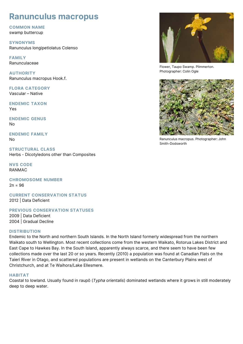### **Ranunculus macropus**

#### **COMMON NAME**

swamp buttercup

**SYNONYMS** Ranunculus longipetiolatus Colenso

**FAMILY** Ranunculaceae

**AUTHORITY** Ranunculus macropus Hook.f.

**FLORA CATEGORY** Vascular – Native

**ENDEMIC TAXON** Yes

**ENDEMIC GENUS** No

**ENDEMIC FAMILY** No

**STRUCTURAL CLASS** Herbs - Dicotyledons other than Composites

**NVS CODE** RANMAC

**CHROMOSOME NUMBER**  $2n = 96$ 

**CURRENT CONSERVATION STATUS** 2012 | Data Deficient

**PREVIOUS CONSERVATION STATUSES**

2009 | Data Deficient 2004 | Gradual Decline

#### **DISTRIBUTION**

Endemic to the North and northern South Islands. In the North Island formerly widespread from the northern Waikato south to Wellington. Most recent collections come from the western Waikato, Rotorua Lakes District and East Cape to Hawkes Bay. In the South Island, apparently always scarce, and there seem to have been few collections made over the last 20 or so years. Recently (2010) a population was found at Canadian Flats on the Taieri River in Otago, and scattered populations are present in wetlands on the Canterbury Plains west of Christchurch, and at Te Waihora/Lake Ellesmere.

#### **HABITAT**

Coastal to lowland. Usually found in raupō (*Typha orientalis*) dominated wetlands where it grows in still moderately deep to deep water.



Flower, Taupo Swamp. Plimmerton. Photographer: Colin Ogle



Ranunculus macropus. Photographer: John Smith-Dodsworth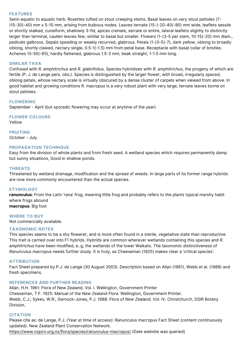#### **FEATURES**

Semi-aquatic to aquatic herb. Rosettes tufted on stout creeping stems. Basal leaves on very stout petioles (7- )15-30(-40) mm x 5-10 mm, arising from bulbous nodes. Leaves ternate (15-)-20-40(-80) mm wide, leaflets sessile or shortly stalked, cuneiform, shallowly 3-fid, apices crenate, serrate or entire, lateral leaflets slightly to distinctly larger than terminal, caulien leaves few, similar to basal but smaller. Flowers (1-)3-5 per stem, 10-15(-20) mm diam., pedicels galbrous. Sepals speading or weakly recurved, glabrous. Petals (1-)3-5(-7), dark yellow, oblong to broadly oblong, shortly clawed, nectary single, 0.5-1(-1.5) mm from petal base. Receptacle with basal collar of bristles. Achenes 15-50(-65), hardly flattened, glabrous 1.5-2 mm, beak straight, 1-1.5 mm long.

#### **SIMILAR TAXA**

Confused with *R. amphitrichus* and *R. glabrifolius*. Species hybridizes with *R. amphitrichus*, the progeny of which are fertile (P. J. de Lange pers. obs.). Species is distinguished by the larger flower, with broad, irregularly spaced, oblong petals, whose nectary scale is virtually obscured by a dense cluster of carpels when viewed from above. In good habitat and growing conditions *R. macropus* is a very robust plant with very large, ternate leaves borne on stout petioles.

#### **FLOWERING**

September - April (but sporadic flowering may occur at anytime of the year)

#### **FLOWER COLOURS**

Yellow

**FRUITING** October - July

#### **PROPAGATION TECHNIQUE**

Easy from the division of whole plants and from fresh seed. A wetland species which requires permanently damp but sunny situations, Good in shallow ponds.

#### **THREATS**

Threatened by wetland drainage, modification and the spread of weeds. In large parts of its former range hybrids are now more commonly encountered than the actual species.

#### **ETYMOLOGY**

**ranunculus**: From the Latin 'rana' frog, meaning little frog and probably refers to the plants typical marshy habit where frogs abound **macropus**: Big foot

#### **WHERE TO BUY**

Not commercially available.

#### **TAXONOMIC NOTES**

This species seems to be a shy flowerer, and is more often found in a sterile, vegetative state than reproductive. This trait is carried over into F1 hybrids. Hybrids are common wherever wetlands containing this species and *R. amphitrichus* have been modified, e..g, the wetlands of the lower Waikato. The taxonomic distinctiveness of *Ranunculus macropus* needs further study. It is truly, as Cheeseman (1925) makes clear a 'critical species'.

#### **ATTRIBUTION**

Fact Sheet prepared by P.J. de Lange (30 August 2003). Description based on Allan (1961), Webb et al. (1988) and fresh specimens.

#### **REFERENCES AND FURTHER READING**

Allan, H.H. 1961: Flora of New Zealand. Vol. I. Wellington, Government Printer Cheeseman, T.F. 1925: *Manual of the New Zealand Flora*. Wellington, Government Printer. Webb, C.J.; Sykes, W.R.; Garnock-Jones, P.J. 1988: *Flora of New Zealand. Vol. IV*. Christchurch, DSIR Botany Division.

#### **CITATION**

Please cite as: de Lange, P.J. (Year at time of access): Ranunculus macropus Fact Sheet (content continuously updated). New Zealand Plant Conservation Network.

<https://www.nzpcn.org.nz/flora/species/ranunculus-macropus/>(Date website was queried)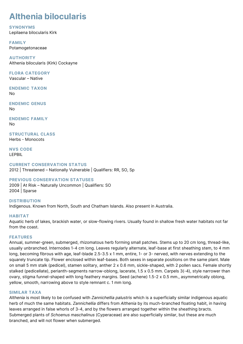### **Althenia bilocularis**

#### **SYNONYMS**

Lepilaena bilocularis Kirk

**FAMILY** Potamogetonaceae

**AUTHORITY** Althenia bilocularis (Kirk) Cockayne

**FLORA CATEGORY** Vascular – Native

**ENDEMIC TAXON** No

**ENDEMIC GENUS** No

**ENDEMIC FAMILY** No

**STRUCTURAL CLASS** Herbs - Monocots

**NVS CODE** LEPBIL

#### **CURRENT CONSERVATION STATUS**

2012 | Threatened – Nationally Vulnerable | Qualifiers: RR, SO, Sp

#### **PREVIOUS CONSERVATION STATUSES**

2009 | At Risk – Naturally Uncommon | Qualifiers: SO 2004 | Sparse

**DISTRIBUTION** Indigenous. Known from North, South and Chatham Islands. Also present in Australia.

#### **HABITAT**

Aquatic herb of lakes, brackish water, or slow-flowing rivers. Usually found in shallow fresh water habitats not far from the coast.

#### **FEATURES**

Annual, summer-green, submerged, rhizomatous herb forming small patches. Stems up to 20 cm long, thread-like, usually unbranched. Internodes 1-4 cm long. Leaves regularly alternate, leaf-base at first sheathing stem, to 4 mm long, becoming fibrous with age, leaf-blade 2.5-3.5 x 1 mm, entire, 1- or 3- nerved, with nerves extending to the squarely truncate tip. Flower enclosed within leaf-bases. Both sexes in separate positions on the same plant. Male on small 5 mm stalk (pedicel), stamen solitary, anther 2 x 0.6 mm, sickle-shaped, with 2 pollen sacs. Female shortly stalked (pedicellate), perianth-segments narrow-oblong, lacerate, 1.5 x 0.5 mm. Carpels 3(-4), style narrower than ovary, stigma funnel-shaped with long feathery margins. Seed (achene) 1.5-2 x 0.5 mm., asymmetrically oblong, yellow, smooth, narrowing above to style remnant c. 1 mm long.

#### **SIMILAR TAXA**

*Althenia* is most likely to be confused with *Zannichellia palustris* which is a superficially similar indigenous aquatic herb of much the same habitats. *Zannichellia* differs from *Althenia* by its much-branched floating habit, in having leaves arranged in false whorls of 3-4, and by the flowers arranged together within the sheathing bracts. Submerged plants of *Schoenus maschalinus* (Cyperaceae) are also superficially similar, but these are much branched, and will not flower when submerged.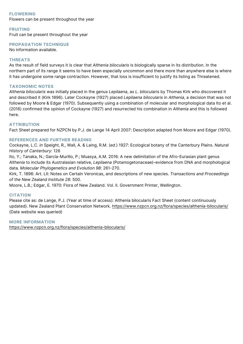#### **FLOWERING**

Flowers can be present throughout the year

#### **FRUITING**

Fruit can be present throughout the year

#### **PROPAGATION TECHNIQUE**

No information available.

#### **THREATS**

As the result of field surveys it is clear that *Althenia bilocularis* is biologically sparse in its distribution. In the northern part of its range it seems to have been especially uncommon and there more than anywhere else is where it has undergone some range contraction. However, that loss is insufficient to justify its listing as Threatened.

#### **TAXONOMIC NOTES**

*Althenia bilocularis* was initially placed in the genus *Lepilaena*, as *L. bilocularis* by Thomas Kirk who discovered it and described it (Kirk 1896). Later Cockayne (1927) placed *Lepilaena bilocularis* in *Althenia*, a decision that was not followed by Moore & Edgar (1970). Subsequently using a combination of molecular and morphological data Ito et al. (2016) confirmed the opinion of Cockayne (1927) and resurrected his combination in *Althenia* and this is followed here.

#### **ATTRIBUTION**

Fact Sheet prepared for NZPCN by P.J. de Lange 14 April 2007: Description adapted from Moore and Edgar (1970).

#### **REFERENCES AND FURTHER READING**

Cockayne, L.C. *in* Speight, R., Wall, A. & Laing, R.M. (*ed*.) 1927: Ecological botany of the Canterbury Plains. *Natural History of Canterbury*: 126

Ito, Y.; Tanaka, N.; García-Murillo, P.; Muasya, A.M. 2016: A new delimitation of the Afro-Eurasian plant genus *Althenia* to include its Australasian relative, *Lepilaena* (Potamogetonaceae)–evidence from DNA and morphological data. *Molecular Phylogenetics and Evolution 98*: 261-270.

Kirk, T. 1896: Art. LII: Notes on Certain Veronicas, and descriptions of new species. *Transactions and Proceedings of the New Zealand Institute 28*: 500.

Moore, L.B.; Edgar, E. 1970: Flora of New Zealand. Vol. II. Government Printer, Wellington.

#### **CITATION**

Please cite as: de Lange, P.J. (Year at time of access): Althenia bilocularis Fact Sheet (content continuously updated). New Zealand Plant Conservation Network. <https://www.nzpcn.org.nz/flora/species/althenia-bilocularis/> (Date website was queried)

#### **MORE INFORMATION**

<https://www.nzpcn.org.nz/flora/species/althenia-bilocularis/>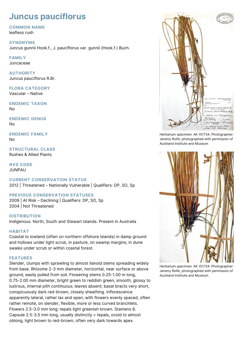### **Juncus pauciflorus**

#### **COMMON NAME**

leafless rush

#### **SYNONYMS**

Juncus gunnii Hook.f., J. pauciflorus var. gunnii (Hook.f.) Buch.

#### **FAMILY**

Juncaceae

#### **AUTHORITY** Juncus pauciflorus R.Br.

### **FLORA CATEGORY**

Vascular – Native

#### **ENDEMIC TAXON** No

#### **ENDEMIC GENUS** No

#### **ENDEMIC FAMILY** No

#### **STRUCTURAL CLASS** Rushes & Allied Plants

#### **NVS CODE** JUNPAU

#### **CURRENT CONSERVATION STATUS** 2012 | Threatened – Nationally Vulnerable | Qualifiers: DP, SO, Sp

#### **PREVIOUS CONSERVATION STATUSES**

2009 | At Risk – Declining | Qualifiers: DP, SO, Sp 2004 | Not Threatened

#### **DISTRIBUTION**

Indigenous. North, South and Stewart Islands. Present in Australia

#### **HABITAT**

Coastal to lowland (often on northern offshore islands) in damp ground and hollows under light scrub, in pasture, on swamp margins, in dune swales under scrub or within coastal forest.

#### **FEATURES**

Slender, clumps with sprawling to almost lianoid stems spreading widely from base. Rhizome 2-3 mm diameter, horizontal, near surface or above ground, easily pulled from soil. Flowering stems 0.25-1.00 m long, 0.75-2.00 mm diameter, bright green to reddish green, smooth, glossy to lustrous, internal pith continuous; leaves absent; basal bracts very short, conspicuously dark red-brown, closely sheathing. Inflorescence apparently lateral, rather lax and open, with flowers evenly spaced, often rather remote, on slender, flexible, more or less curved branchlets. Flowers 2.5-3.0 mm long; tepals light greenish brown. Stamens 6. Capsule 2.5-3.5 mm long, usually distinctly > tepals, ovoid to almost oblong, light brown to red-brown, often very dark towards apex.



Herbarium specimen: AK 151734. Photographer: Jeremy Rolfe, photographed with permission of Auckland Institute and Museum



Herbarium specimen: AK 151734. Photographer: Jeremy Rolfe, photographed with permission of Auckland Institute and Museum.